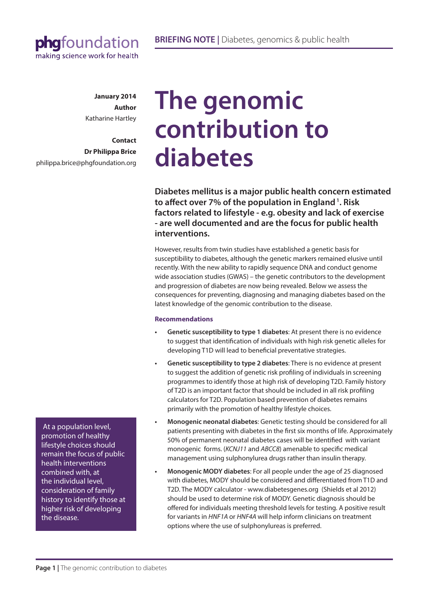

**January 2014 Author** Katharine Hartley

**Contact Dr Philippa Brice** philippa.brice@phgfoundation.org

# **The genomic contribution to diabetes**

**Diabetes mellitus is a major public health concern estimated to affect over 7% of the population in England 1. Risk factors related to lifestyle - e.g. obesity and lack of exercise - are well documented and are the focus for public health interventions.** 

However, results from twin studies have established a genetic basis for susceptibility to diabetes, although the genetic markers remained elusive until recently. With the new ability to rapidly sequence DNA and conduct genome wide association studies (GWAS) – the genetic contributors to the development and progression of diabetes are now being revealed. Below we assess the consequences for preventing, diagnosing and managing diabetes based on the latest knowledge of the genomic contribution to the disease.

### **Recommendations**

- **Genetic susceptibility to type 1 diabetes:** At present there is no evidence to suggest that identification of individuals with high risk genetic alleles for developing T1D will lead to beneficial preventative strategies.
- **Genetic susceptibility to type 2 diabetes:** There is no evidence at present to suggest the addition of genetic risk profiling of individuals in screening programmes to identify those at high risk of developing T2D. Family history of T2D is an important factor that should be included in all risk profiling calculators for T2D. Population based prevention of diabetes remains primarily with the promotion of healthy lifestyle choices.
- **• Monogenic neonatal diabetes**: Genetic testing should be considered for all patients presenting with diabetes in the first six months of life. Approximately 50% of permanent neonatal diabetes cases will be identified with variant monogenic forms. (*KCNJ11* and *ABCC8*) amenable to specific medical management using sulphonylurea drugs rather than insulin therapy.
- **Monogenic MODY diabetes:** For all people under the age of 25 diagnosed with diabetes, MODY should be considered and differentiated from T1D and T2D. The MODY calculator - www.diabetesgenes.org (Shields et al 2012) should be used to determine risk of MODY. Genetic diagnosis should be offered for individuals meeting threshold levels for testing. A positive result for variants in *HNF1A* or *HNF4A* will help inform clinicians on treatment options where the use of sulphonylureas is preferred.

 At a population level, promotion of healthy lifestyle choices should remain the focus of public health interventions combined with, at the individual level, consideration of family history to identify those at higher risk of developing the disease.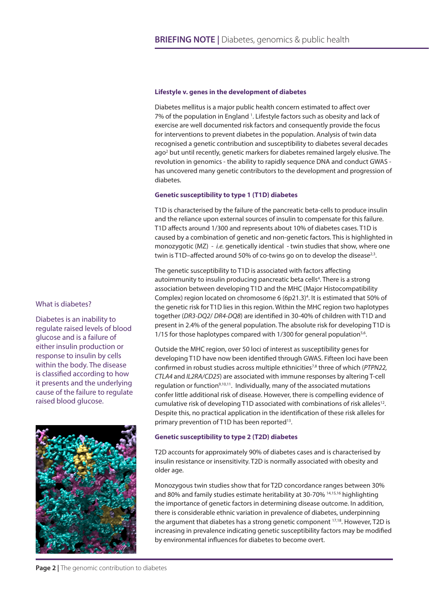#### **Lifestyle v. genes in the development of diabetes**

Diabetes mellitus is a major public health concern estimated to affect over 7% of the population in England <sup>1</sup>. Lifestyle factors such as obesity and lack of exercise are well documented risk factors and consequently provide the focus for interventions to prevent diabetes in the population. Analysis of twin data recognised a genetic contribution and susceptibility to diabetes several decades ago<sup>2</sup> but until recently, genetic markers for diabetes remained largely elusive. The revolution in genomics - the ability to rapidly sequence DNA and conduct GWAS has uncovered many genetic contributors to the development and progression of diabetes.

#### **Genetic susceptibility to type 1 (T1D) diabetes**

T1D is characterised by the failure of the pancreatic beta-cells to produce insulin and the reliance upon external sources of insulin to compensate for this failure. T1D affects around 1/300 and represents about 10% of diabetes cases. T1D is caused by a combination of genetic and non-genetic factors. This is highlighted in monozygotic (MZ) - *i.e.* genetically identical - twin studies that show, where one twin is T1D-affected around 50% of co-twins go on to develop the disease<sup>2,3</sup>.

The genetic susceptibility to T1D is associated with factors affecting autoimmunity to insulin producing pancreatic beta cells<sup>4</sup>. There is a strong association between developing T1D and the MHC (Major Histocompatibility Complex) region located on chromosome 6 (6p21.3)<sup>4</sup>. It is estimated that 50% of the genetic risk for T1D lies in this region. Within the MHC region two haplotypes together (*DR3-DQ2*/ *DR4-DQ8*) are identified in 30-40% of children with T1D and present in 2.4% of the general population. The absolute risk for developing T1D is 1/15 for those haplotypes compared with  $1/300$  for general population<sup>5,6</sup>.

Outside the MHC region, over 50 loci of interest as susceptibility genes for developing T1D have now been identified through GWAS. Fifteen loci have been confirmed in robust studies across multiple ethnicities<sup>7,8</sup> three of which (*PTPN22*, *CTLA4* and *IL2RA/CD25*) are associated with immune responses by altering T-cell regulation or function<sup>9,10,11</sup>. Individually, many of the associated mutations confer little additional risk of disease. However, there is compelling evidence of cumulative risk of developing T1D associated with combinations of risk alleles<sup>12</sup>. Despite this, no practical application in the identification of these risk alleles for primary prevention of T1D has been reported<sup>13</sup>.

#### **Genetic susceptibility to type 2 (T2D) diabetes**

T2D accounts for approximately 90% of diabetes cases and is characterised by insulin resistance or insensitivity. T2D is normally associated with obesity and older age.

Monozygous twin studies show that for T2D concordance ranges between 30% and 80% and family studies estimate heritability at 30-70% 14,15,16 highlighting the importance of genetic factors in determining disease outcome. In addition, there is considerable ethnic variation in prevalence of diabetes, underpinning the argument that diabetes has a strong genetic component 17,18. However, T2D is increasing in prevalence indicating genetic susceptibility factors may be modified by environmental influences for diabetes to become overt.

#### What is diabetes?

Diabetes is an inability to regulate raised levels of blood glucose and is a failure of either insulin production or response to insulin by cells within the body. The disease is classified according to how it presents and the underlying cause of the failure to regulate raised blood glucose.

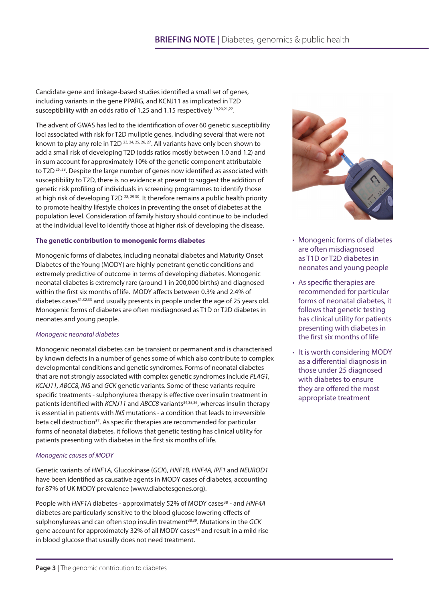Candidate gene and linkage-based studies identified a small set of genes, including variants in the gene PPARG, and KCNJ11 as implicated in T2D susceptibility with an odds ratio of 1.25 and 1.15 respectively <sup>19,20,21,22</sup>.

The advent of GWAS has led to the identification of over 60 genetic susceptibility loci associated with risk for T2D muliptle genes, including several that were not known to play any role in T2D 23, 24, 25, 26, 27. All variants have only been shown to add a small risk of developing T2D (odds ratios mostly between 1.0 and 1.2) and in sum account for approximately 10% of the genetic component attributable to T2D<sup>25, 28</sup>. Despite the large number of genes now identified as associated with susceptibility to T2D, there is no evidence at present to suggest the addition of genetic risk profiling of individuals in screening programmes to identify those at high risk of developing  $T2D^{28, 29, 30}$ . It therefore remains a public health priority to promote healthy lifestyle choices in preventing the onset of diabetes at the population level. Consideration of family history should continue to be included at the individual level to identify those at higher risk of developing the disease.

#### **The genetic contribution to monogenic forms diabetes**

Monogenic forms of diabetes, including neonatal diabetes and Maturity Onset Diabetes of the Young (MODY) are highly penetrant genetic conditions and extremely predictive of outcome in terms of developing diabetes. Monogenic neonatal diabetes is extremely rare (around 1 in 200,000 births) and diagnosed within the first six months of life. MODY affects between 0.3% and 2.4% of diabetes cases<sup>31,32,33</sup> and usually presents in people under the age of 25 years old. Monogenic forms of diabetes are often misdiagnosed as T1D or T2D diabetes in neonates and young people.

### *Monogenic neonatal diabetes*

Monogenic neonatal diabetes can be transient or permanent and is characterised by known defects in a number of genes some of which also contribute to complex developmental conditions and genetic syndromes. Forms of neonatal diabetes that are not strongly associated with complex genetic syndromes include *PLAG1, KCNJ11, ABCC8, INS* and *GCK* genetic variants. Some of these variants require specific treatments - sulphonylurea therapy is effective over insulin treatment in patients identified with *KCNJ11* and *ABCC8* variants<sup>34,35,36</sup>, whereas insulin therapy is essential in patients with *INS* mutations - a condition that leads to irreversible beta cell destruction<sup>37</sup>. As specific therapies are recommended for particular forms of neonatal diabetes, it follows that genetic testing has clinical utility for patients presenting with diabetes in the first six months of life.

### *Monogenic causes of MODY*

Genetic variants of *HNF1A,* Glucokinase (*GCK*), *HNF1B, HNF4A, IPF1* and *NEUROD1*  have been identified as causative agents in MODY cases of diabetes, accounting for 87% of UK MODY prevalence (www.diabetesgenes.org).

People with *HNF1A* diabetes - approximately 52% of MODY cases<sup>38</sup> - and *HNF4A* diabetes are particularly sensitive to the blood glucose lowering effects of sulphonylureas and can often stop insulin treatment<sup>38,39</sup>. Mutations in the GCK gene account for approximately 32% of all MODY cases<sup>38</sup> and result in a mild rise in blood glucose that usually does not need treatment.



- Monogenic forms of diabetes are often misdiagnosed as T1D or T2D diabetes in neonates and young people
- As specific therapies are recommended for particular forms of neonatal diabetes, it follows that genetic testing has clinical utility for patients presenting with diabetes in the first six months of life
- It is worth considering MODY as a differential diagnosis in those under 25 diagnosed with diabetes to ensure they are offered the most appropriate treatment